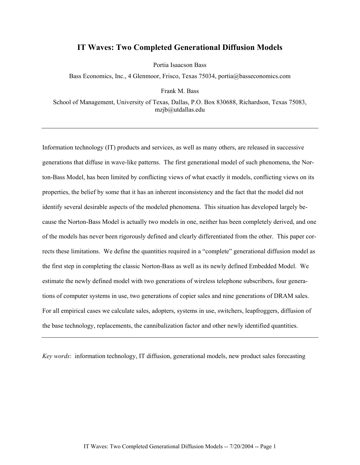# **IT Waves: Two Completed Generational Diffusion Models**

Portia Isaacson Bass

Bass Economics, Inc., 4 Glenmoor, Frisco, Texas 75034, portia@basseconomics.com

Frank M. Bass

School of Management, University of Texas, Dallas, P.O. Box 830688, Richardson, Texas 75083, mzjb@utdallas.edu

Information technology (IT) products and services, as well as many others, are released in successive generations that diffuse in wave-like patterns. The first generational model of such phenomena, the Norton-Bass Model, has been limited by conflicting views of what exactly it models, conflicting views on its properties, the belief by some that it has an inherent inconsistency and the fact that the model did not identify several desirable aspects of the modeled phenomena. This situation has developed largely because the Norton-Bass Model is actually two models in one, neither has been completely derived, and one of the models has never been rigorously defined and clearly differentiated from the other. This paper corrects these limitations. We define the quantities required in a "complete" generational diffusion model as the first step in completing the classic Norton-Bass as well as its newly defined Embedded Model. We estimate the newly defined model with two generations of wireless telephone subscribers, four generations of computer systems in use, two generations of copier sales and nine generations of DRAM sales. For all empirical cases we calculate sales, adopters, systems in use, switchers, leapfroggers, diffusion of the base technology, replacements, the cannibalization factor and other newly identified quantities.

*Key words*: information technology, IT diffusion, generational models, new product sales forecasting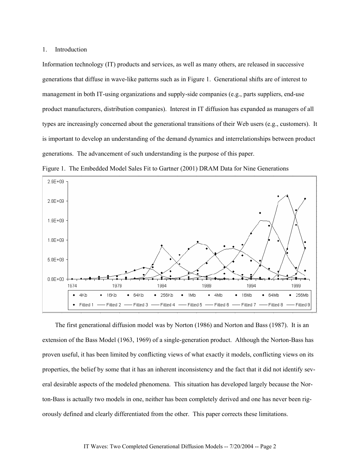### 1. Introduction

Information technology (IT) products and services, as well as many others, are released in successive generations that diffuse in wave-like patterns such as in Figure 1. Generational shifts are of interest to management in both IT-using organizations and supply-side companies (e.g., parts suppliers, end-use product manufacturers, distribution companies). Interest in IT diffusion has expanded as managers of all types are increasingly concerned about the generational transitions of their Web users (e.g., customers). It is important to develop an understanding of the demand dynamics and interrelationships between product generations. The advancement of such understanding is the purpose of this paper.





The first generational diffusion model was by Norton (1986) and Norton and Bass (1987). It is an extension of the Bass Model (1963, 1969) of a single-generation product. Although the Norton-Bass has proven useful, it has been limited by conflicting views of what exactly it models, conflicting views on its properties, the belief by some that it has an inherent inconsistency and the fact that it did not identify several desirable aspects of the modeled phenomena. This situation has developed largely because the Norton-Bass is actually two models in one, neither has been completely derived and one has never been rigorously defined and clearly differentiated from the other. This paper corrects these limitations.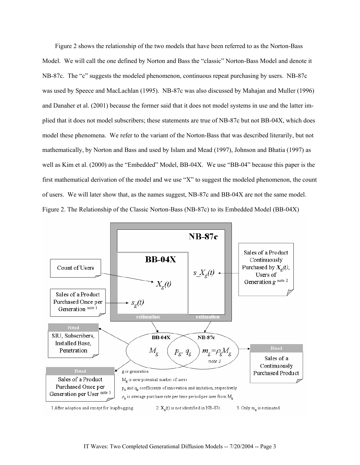Figure 2 shows the relationship of the two models that have been referred to as the Norton-Bass Model. We will call the one defined by Norton and Bass the "classic" Norton-Bass Model and denote it NB-87c. The "c" suggests the modeled phenomenon, continuous repeat purchasing by users. NB-87c was used by Speece and MacLachlan (1995). NB-87c was also discussed by Mahajan and Muller (1996) and Danaher et al. (2001) because the former said that it does not model systems in use and the latter implied that it does not model subscribers; these statements are true of NB-87c but not BB-04X, which does model these phenomena. We refer to the variant of the Norton-Bass that was described literarily, but not mathematically, by Norton and Bass and used by Islam and Mead (1997), Johnson and Bhatia (1997) as well as Kim et al. (2000) as the "Embedded" Model, BB-04X. We use "BB-04" because this paper is the first mathematical derivation of the model and we use "X" to suggest the modeled phenomenon, the count of users. We will later show that, as the names suggest, NB-87c and BB-04X are not the same model. Figure 2. The Relationship of the Classic Norton-Bass (NB-87c) to its Embedded Model (BB-04X)

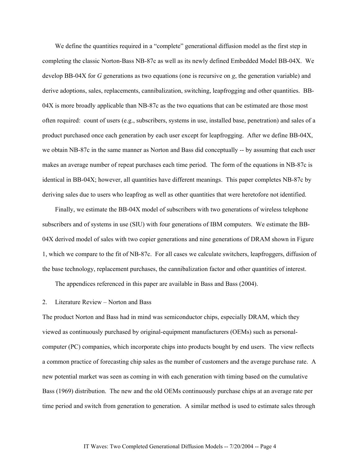We define the quantities required in a "complete" generational diffusion model as the first step in completing the classic Norton-Bass NB-87c as well as its newly defined Embedded Model BB-04X. We develop BB-04X for *G* generations as two equations (one is recursive on *g*, the generation variable) and derive adoptions, sales, replacements, cannibalization, switching, leapfrogging and other quantities. BB-04X is more broadly applicable than NB-87c as the two equations that can be estimated are those most often required: count of users (e.g., subscribers, systems in use, installed base, penetration) and sales of a product purchased once each generation by each user except for leapfrogging. After we define BB-04X, we obtain NB-87c in the same manner as Norton and Bass did conceptually -- by assuming that each user makes an average number of repeat purchases each time period. The form of the equations in NB-87c is identical in BB-04X; however, all quantities have different meanings. This paper completes NB-87c by deriving sales due to users who leapfrog as well as other quantities that were heretofore not identified.

Finally, we estimate the BB-04X model of subscribers with two generations of wireless telephone subscribers and of systems in use (SIU) with four generations of IBM computers. We estimate the BB-04X derived model of sales with two copier generations and nine generations of DRAM shown in Figure 1, which we compare to the fit of NB-87c. For all cases we calculate switchers, leapfroggers, diffusion of the base technology, replacement purchases, the cannibalization factor and other quantities of interest.

The appendices referenced in this paper are available in Bass and Bass (2004).

### 2. Literature Review – Norton and Bass

The product Norton and Bass had in mind was semiconductor chips, especially DRAM, which they viewed as continuously purchased by original-equipment manufacturers (OEMs) such as personalcomputer (PC) companies, which incorporate chips into products bought by end users. The view reflects a common practice of forecasting chip sales as the number of customers and the average purchase rate. A new potential market was seen as coming in with each generation with timing based on the cumulative Bass (1969) distribution. The new and the old OEMs continuously purchase chips at an average rate per time period and switch from generation to generation. A similar method is used to estimate sales through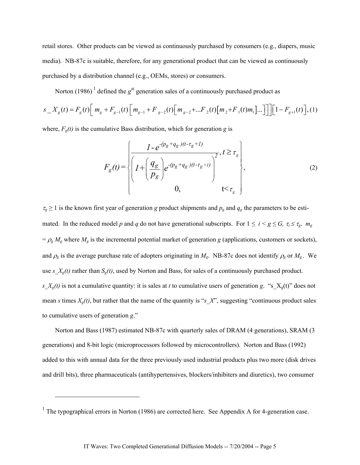retail stores. Other products can be viewed as continuously purchased by consumers (e.g., diapers, music media). NB-87c is suitable, therefore, for any generational product that can be viewed as continuously purchased by a distribution channel (e.g., OEMs, stores) or consumers.

Norton (1986)<sup>1</sup> defined the  $g<sup>th</sup>$  generation sales of a continuously purchased product as

$$
S_{-}X_{g}(t) = F_{g}(t) \left[ m_{g} + F_{g-1}(t) \left[ m_{g-1} + F_{g-2}(t) \left[ m_{g-2} + ... + F_{2}(t) \left[ m_{2} + F_{1}(t) m_{1} \right] ... \right] \right] \right] \left[ 1 - F_{g+1}(t) \right], (1)
$$

where,  $F_g(t)$  is the cumulative Bass distribution, which for generation *g* is

$$
F_g(t) = \sqrt{\frac{1 - e^{-(p_g + q_g)(t - \tau_g + I)}}{1 + \left(\frac{q_g}{p_g}\right) e^{-(p_g + q_g)(t - \tau_g + I)}}\Bigg)^2}, t \ge \tau_g
$$
\n
$$
0, \qquad t < \tau_g
$$
\n(2)

 $\tau_g \geq 1$  is the known first year of generation *g* product shipments and  $p_g$  and  $q_g$  the parameters to be estimated. In the reduced model *p* and *q* do not have generational subscripts. For  $1 \le i \le g \le G$ ,  $\tau_i \le \tau_g$ .  $m_g$  $= \rho_g M_g$  where  $M_g$  is the incremental potential market of generation *g* (applications, customers or sockets), and  $\rho_g$  is the average purchase rate of adopters originating in  $M_g$ . NB-87c does not identify  $\rho_g$  or  $M_g$ . We use  $s_X g(t)$  rather than  $S_g(t)$ , used by Norton and Bass, for sales of a continuously purchased product.  $s_X_s(t)$  is not a cumulative quantity: it is sales at *t* to cumulative users of generation *g*. "s<sub>\_</sub>X<sub>g</sub>(t)" does not mean *s* times  $X_g(t)$ , but rather that the name of the quantity is "*s\_X*", suggesting "continuous product sales to cumulative users of generation *g*."

Norton and Bass (1987) estimated NB-87c with quarterly sales of DRAM (4 generations), SRAM (3 generations) and 8-bit logic (microprocessors followed by microcontrollers). Norton and Bass (1992) added to this with annual data for the three previously used industrial products plus two more (disk drives and drill bits), three pharmaceuticals (antihypertensives, blockers/inhibiters and diuretics), two consumer

l

<sup>&</sup>lt;sup>1</sup> The typographical errors in Norton (1986) are corrected here. See Appendix A for 4-generation case.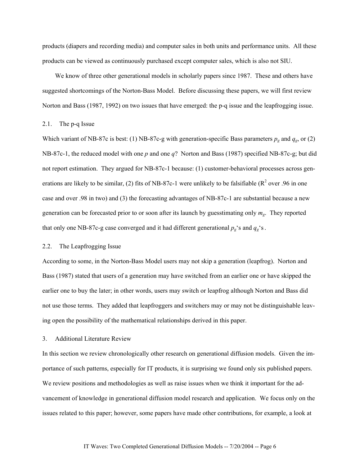products (diapers and recording media) and computer sales in both units and performance units. All these products can be viewed as continuously purchased except computer sales, which is also not SIU.

We know of three other generational models in scholarly papers since 1987. These and others have suggested shortcomings of the Norton-Bass Model. Before discussing these papers, we will first review Norton and Bass (1987, 1992) on two issues that have emerged: the p-q issue and the leapfrogging issue.

### 2.1. The p-q Issue

Which variant of NB-87c is best: (1) NB-87c-g with generation-specific Bass parameters  $p_g$  and  $q_g$ , or (2) NB-87c-1, the reduced model with one *p* and one *q*? Norton and Bass (1987) specified NB-87c-g; but did not report estimation. They argued for NB-87c-1 because: (1) customer-behavioral processes across generations are likely to be similar, (2) fits of NB-87c-1 were unlikely to be falsifiable ( $\mathbb{R}^2$  over .96 in one case and over .98 in two) and (3) the forecasting advantages of NB-87c-1 are substantial because a new generation can be forecasted prior to or soon after its launch by guesstimating only *mg*. They reported that only one NB-87c-g case converged and it had different generational  $p_g$ 's and  $q_g$ 's.

## 2.2. The Leapfrogging Issue

According to some, in the Norton-Bass Model users may not skip a generation (leapfrog). Norton and Bass (1987) stated that users of a generation may have switched from an earlier one or have skipped the earlier one to buy the later; in other words, users may switch or leapfrog although Norton and Bass did not use those terms. They added that leapfroggers and switchers may or may not be distinguishable leaving open the possibility of the mathematical relationships derived in this paper.

## 3. Additional Literature Review

In this section we review chronologically other research on generational diffusion models. Given the importance of such patterns, especially for IT products, it is surprising we found only six published papers. We review positions and methodologies as well as raise issues when we think it important for the advancement of knowledge in generational diffusion model research and application. We focus only on the issues related to this paper; however, some papers have made other contributions, for example, a look at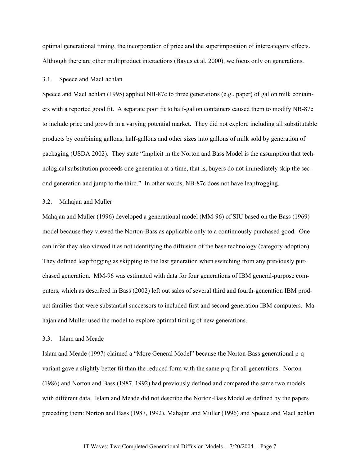optimal generational timing, the incorporation of price and the superimposition of intercategory effects. Although there are other multiproduct interactions (Bayus et al. 2000), we focus only on generations.

### 3.1. Speece and MacLachlan

Speece and MacLachlan (1995) applied NB-87c to three generations (e.g., paper) of gallon milk containers with a reported good fit. A separate poor fit to half-gallon containers caused them to modify NB-87c to include price and growth in a varying potential market. They did not explore including all substitutable products by combining gallons, half-gallons and other sizes into gallons of milk sold by generation of packaging (USDA 2002). They state "Implicit in the Norton and Bass Model is the assumption that technological substitution proceeds one generation at a time, that is, buyers do not immediately skip the second generation and jump to the third." In other words, NB-87c does not have leapfrogging.

### 3.2. Mahajan and Muller

Mahajan and Muller (1996) developed a generational model (MM-96) of SIU based on the Bass (1969) model because they viewed the Norton-Bass as applicable only to a continuously purchased good. One can infer they also viewed it as not identifying the diffusion of the base technology (category adoption). They defined leapfrogging as skipping to the last generation when switching from any previously purchased generation. MM-96 was estimated with data for four generations of IBM general-purpose computers, which as described in Bass (2002) left out sales of several third and fourth-generation IBM product families that were substantial successors to included first and second generation IBM computers. Mahajan and Muller used the model to explore optimal timing of new generations.

## 3.3. Islam and Meade

Islam and Meade (1997) claimed a "More General Model" because the Norton-Bass generational p-q variant gave a slightly better fit than the reduced form with the same p-q for all generations. Norton (1986) and Norton and Bass (1987, 1992) had previously defined and compared the same two models with different data. Islam and Meade did not describe the Norton-Bass Model as defined by the papers preceding them: Norton and Bass (1987, 1992), Mahajan and Muller (1996) and Speece and MacLachlan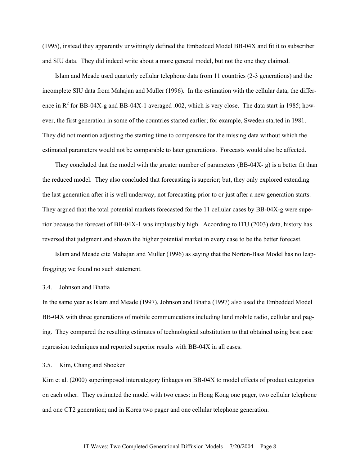(1995), instead they apparently unwittingly defined the Embedded Model BB-04X and fit it to subscriber and SIU data. They did indeed write about a more general model, but not the one they claimed.

Islam and Meade used quarterly cellular telephone data from 11 countries (2-3 generations) and the incomplete SIU data from Mahajan and Muller (1996). In the estimation with the cellular data, the difference in  $R^2$  for BB-04X-g and BB-04X-1 averaged .002, which is very close. The data start in 1985; however, the first generation in some of the countries started earlier; for example, Sweden started in 1981. They did not mention adjusting the starting time to compensate for the missing data without which the estimated parameters would not be comparable to later generations. Forecasts would also be affected.

They concluded that the model with the greater number of parameters (BB-04X- g) is a better fit than the reduced model. They also concluded that forecasting is superior; but, they only explored extending the last generation after it is well underway, not forecasting prior to or just after a new generation starts. They argued that the total potential markets forecasted for the 11 cellular cases by BB-04X-g were superior because the forecast of BB-04X-1 was implausibly high. According to ITU (2003) data, history has reversed that judgment and shown the higher potential market in every case to be the better forecast.

Islam and Meade cite Mahajan and Muller (1996) as saying that the Norton-Bass Model has no leapfrogging; we found no such statement.

## 3.4. Johnson and Bhatia

In the same year as Islam and Meade (1997), Johnson and Bhatia (1997) also used the Embedded Model BB-04X with three generations of mobile communications including land mobile radio, cellular and paging. They compared the resulting estimates of technological substitution to that obtained using best case regression techniques and reported superior results with BB-04X in all cases.

### 3.5. Kim, Chang and Shocker

Kim et al. (2000) superimposed intercategory linkages on BB-04X to model effects of product categories on each other. They estimated the model with two cases: in Hong Kong one pager, two cellular telephone and one CT2 generation; and in Korea two pager and one cellular telephone generation.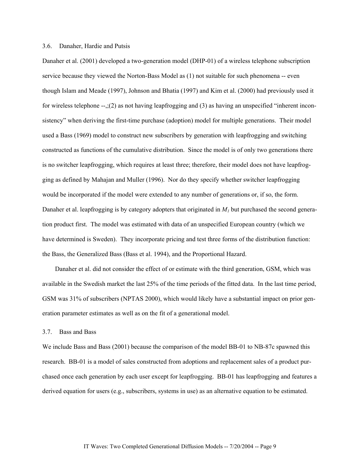### 3.6. Danaher, Hardie and Putsis

Danaher et al. (2001) developed a two-generation model (DHP-01) of a wireless telephone subscription service because they viewed the Norton-Bass Model as (1) not suitable for such phenomena -- even though Islam and Meade (1997), Johnson and Bhatia (1997) and Kim et al. (2000) had previously used it for wireless telephone  $-\frac{1}{2}$  as not having leapfrogging and (3) as having an unspecified "inherent inconsistency" when deriving the first-time purchase (adoption) model for multiple generations. Their model used a Bass (1969) model to construct new subscribers by generation with leapfrogging and switching constructed as functions of the cumulative distribution. Since the model is of only two generations there is no switcher leapfrogging, which requires at least three; therefore, their model does not have leapfrogging as defined by Mahajan and Muller (1996). Nor do they specify whether switcher leapfrogging would be incorporated if the model were extended to any number of generations or, if so, the form. Danaher et al. leapfrogging is by category adopters that originated in  $M<sub>1</sub>$  but purchased the second generation product first. The model was estimated with data of an unspecified European country (which we have determined is Sweden). They incorporate pricing and test three forms of the distribution function: the Bass, the Generalized Bass (Bass et al. 1994), and the Proportional Hazard.

Danaher et al. did not consider the effect of or estimate with the third generation, GSM, which was available in the Swedish market the last 25% of the time periods of the fitted data. In the last time period, GSM was 31% of subscribers (NPTAS 2000), which would likely have a substantial impact on prior generation parameter estimates as well as on the fit of a generational model.

### 3.7. Bass and Bass

We include Bass and Bass (2001) because the comparison of the model BB-01 to NB-87c spawned this research. BB-01 is a model of sales constructed from adoptions and replacement sales of a product purchased once each generation by each user except for leapfrogging. BB-01 has leapfrogging and features a derived equation for users (e.g., subscribers, systems in use) as an alternative equation to be estimated.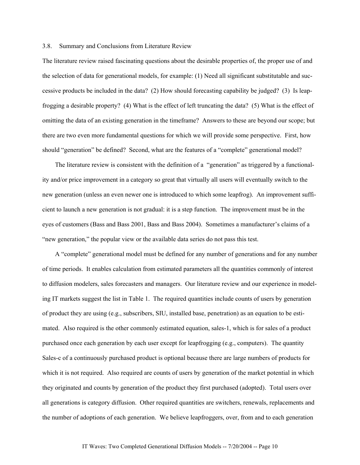### 3.8. Summary and Conclusions from Literature Review

The literature review raised fascinating questions about the desirable properties of, the proper use of and the selection of data for generational models, for example: (1) Need all significant substitutable and successive products be included in the data? (2) How should forecasting capability be judged? (3) Is leapfrogging a desirable property? (4) What is the effect of left truncating the data? (5) What is the effect of omitting the data of an existing generation in the timeframe? Answers to these are beyond our scope; but there are two even more fundamental questions for which we will provide some perspective. First, how should "generation" be defined? Second, what are the features of a "complete" generational model?

The literature review is consistent with the definition of a "generation" as triggered by a functionality and/or price improvement in a category so great that virtually all users will eventually switch to the new generation (unless an even newer one is introduced to which some leapfrog). An improvement sufficient to launch a new generation is not gradual: it is a step function. The improvement must be in the eyes of customers (Bass and Bass 2001, Bass and Bass 2004). Sometimes a manufacturer's claims of a "new generation," the popular view or the available data series do not pass this test.

A "complete" generational model must be defined for any number of generations and for any number of time periods. It enables calculation from estimated parameters all the quantities commonly of interest to diffusion modelers, sales forecasters and managers. Our literature review and our experience in modeling IT markets suggest the list in Table 1. The required quantities include counts of users by generation of product they are using (e.g., subscribers, SIU, installed base, penetration) as an equation to be estimated. Also required is the other commonly estimated equation, sales-1, which is for sales of a product purchased once each generation by each user except for leapfrogging (e.g., computers). The quantity Sales-c of a continuously purchased product is optional because there are large numbers of products for which it is not required. Also required are counts of users by generation of the market potential in which they originated and counts by generation of the product they first purchased (adopted). Total users over all generations is category diffusion. Other required quantities are switchers, renewals, replacements and the number of adoptions of each generation. We believe leapfroggers, over, from and to each generation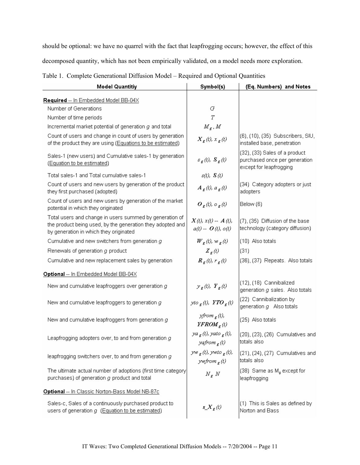should be optional: we have no quarrel with the fact that leapfrogging occurs; however, the effect of this decomposed quantity, which has not been empirically validated, on a model needs more exploration.

| <b>Model Quantitiy</b>                                                                                                                                          | Symbol(s)                                                              | (Eq. Numbers) and Notes                                                                   |  |  |
|-----------------------------------------------------------------------------------------------------------------------------------------------------------------|------------------------------------------------------------------------|-------------------------------------------------------------------------------------------|--|--|
| Required -- In Embedded Model BB-04X                                                                                                                            |                                                                        |                                                                                           |  |  |
| Number of Generations                                                                                                                                           | G                                                                      |                                                                                           |  |  |
| Number of time periods                                                                                                                                          | $\overline{T}$                                                         |                                                                                           |  |  |
| Incremental market potential of generation $g$ and total                                                                                                        | $M_g$ , M                                                              |                                                                                           |  |  |
| Count of users and change in count of users by generation<br>of the product they are using (Equations to be estimated)                                          | $X_{g}(t), x_{g}(t)$                                                   | (6), (10), (35) Subscribers, SIU,<br>installed base, penetration                          |  |  |
| Sales-1 (new users) and Cumulative sales-1 by generation<br>(Equation to be estimated)                                                                          | $s_{\varepsilon}(t)$ , $S_{\varepsilon}(t)$                            | (32), (33) Sales of a product<br>purchased once per generation<br>except for leapfrogging |  |  |
| Total sales-1 and Total cumulative sales-1                                                                                                                      | $s(t)$ , $S(t)$                                                        |                                                                                           |  |  |
| Count of users and new users by generation of the product<br>they first purchased (adopted)                                                                     | $A_{\varepsilon}(t), a_{\varepsilon}(t)$                               | (34) Category adopters or just<br>adopters                                                |  |  |
| Count of users and new users by generation of the market<br>potential in which they originated                                                                  | $O_{\varepsilon}(t), o_{\varepsilon}(t)$                               | Below (6)                                                                                 |  |  |
| Total users and change in users summed by generation of<br>the product being used, by the generation they adopted and<br>by generation in which they originated | $X(t), x(t) - A(t),$<br>$a(t) - O(t)$ , $o(t)$                         | (7), (35) Diffusion of the base<br>technology (category diffusion)                        |  |  |
| Cumulative and new switchers from generation g                                                                                                                  | $W_{g}(t)$ , $W_{g}(t)$                                                | (10) Also totals                                                                          |  |  |
| Renewals of generation g product                                                                                                                                | $Z_g(t)$                                                               | (31)                                                                                      |  |  |
| Cumulative and new replacement sales by generation                                                                                                              | $R_{\varepsilon}(t)$ , $r_{\varepsilon}(t)$                            | (36), (37) Repeats. Also totals                                                           |  |  |
| Optional -- In Embedded Model BB-04X                                                                                                                            |                                                                        |                                                                                           |  |  |
| New and cumulative leapfroggers over generation g                                                                                                               | $y_{\varepsilon}(t), Y_{\varepsilon}(t)$                               | (12), (18) Cannibalized<br>generation g sales. Also totals                                |  |  |
| New and cumulative leapfroggers to generation g                                                                                                                 | yto $_{g}(t)$ , YTO $_{g}(t)$                                          | (22) Cannibalization by<br>generation g Also totals                                       |  |  |
| New and cumulative leapfroggers from generation g                                                                                                               | yfrom <sub>g</sub> (t),<br>${\it YFROM}_\varepsilon(t)$                | (25) Also totals                                                                          |  |  |
| Leapfrogging adopters over, to and from generation g                                                                                                            | $ya_{g}(t)$ , yato <sub>g</sub> (t),<br>yafrom $_{\varepsilon}$ (t)    | (20), (23), (26) Cumulatives and<br>totals also                                           |  |  |
| leapfrogging switchers over, to and from generation g                                                                                                           | yw <sub>g</sub> (t), ywto <sub>g</sub> (t),<br>ywfrom $_{\epsilon}(t)$ | (21), (24), (27) Cumulatives and<br>totals also                                           |  |  |
| The ultimate actual number of adoptions (first time category<br>$N_g N$<br>purchases) of generation g product and total                                         |                                                                        | (38) Same as M <sub>a</sub> except for<br>leapfrogging                                    |  |  |
| Optional -- In Classic Norton-Bass Model NB-87c                                                                                                                 |                                                                        |                                                                                           |  |  |
| Sales-c, Sales of a continuously purchased product to<br>users of generation g (Equation to be estimated)                                                       | $s_{\perp} X_{\rm g}(t)$                                               | (1) This is Sales as defined by<br>Norton and Bass                                        |  |  |

# Table 1. Complete Generational Diffusion Model – Required and Optional Quantities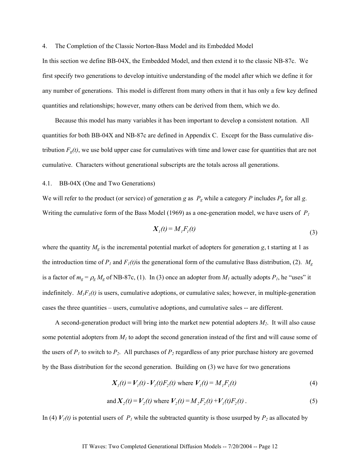4. The Completion of the Classic Norton-Bass Model and its Embedded Model

In this section we define BB-04X, the Embedded Model, and then extend it to the classic NB-87c. We first specify two generations to develop intuitive understanding of the model after which we define it for any number of generations. This model is different from many others in that it has only a few key defined quantities and relationships; however, many others can be derived from them, which we do.

Because this model has many variables it has been important to develop a consistent notation. All quantities for both BB-04X and NB-87c are defined in Appendix C. Except for the Bass cumulative distribution  $F_g(t)$ , we use bold upper case for cumulatives with time and lower case for quantities that are not cumulative. Characters without generational subscripts are the totals across all generations.

## 4.1. BB-04X (One and Two Generations)

We will refer to the product (or service) of generation *g* as  $P_g$  while a category *P* includes  $P_g$  for all *g*. Writing the cumulative form of the Bass Model (1969) as a one-generation model, we have users of  $P_I$ 

$$
X_{I}(t) = M_{I}F_{I}(t)
$$
\n(3)

where the quantity  $M_g$  is the incremental potential market of adopters for generation  $g$ , t starting at 1 as the introduction time of  $P_1$  and  $F_1(t)$  is the generational form of the cumulative Bass distribution, (2).  $M_g$ is a factor of  $m_g = \rho_g M_g$  of NB-87c, (1). In (3) once an adopter from  $M_l$  actually adopts  $P_l$ , he "uses" it indefinitely.  $M_1F_1(t)$  is users, cumulative adoptions, or cumulative sales; however, in multiple-generation cases the three quantities – users, cumulative adoptions, and cumulative sales -- are different.

A second-generation product will bring into the market new potential adopters *M2*. It will also cause some potential adopters from  $M_l$  to adopt the second generation instead of the first and will cause some of the users of  $P_1$  to switch to  $P_2$ . All purchases of  $P_2$  regardless of any prior purchase history are governed by the Bass distribution for the second generation. Building on (3) we have for two generations

$$
X_{I}(t) = V_{I}(t) - V_{I}(t)F_{2}(t) \text{ where } V_{I}(t) = M_{I}F_{I}(t)
$$
\n(4)

and 
$$
X_2(t) = V_2(t)
$$
 where  $V_2(t) = M_2 F_2(t) + V_1(t) F_2(t)$ . (5)

In (4)  $V_I(t)$  is potential users of  $P_I$  while the subtracted quantity is those usurped by  $P_2$  as allocated by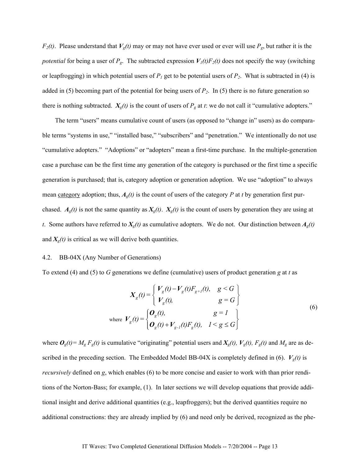*F<sub>2</sub>(t)*. Please understand that  $V_g(t)$  may or may not have ever used or ever will use  $P_g$ , but rather it is the *potential* for being a user of  $P_g$ . The subtracted expression  $V_1(t)F_2(t)$  does not specify the way (switching or leapfrogging) in which potential users of  $P_1$  get to be potential users of  $P_2$ . What is subtracted in (4) is added in (5) becoming part of the potential for being users of  $P_2$ . In (5) there is no future generation so there is nothing subtracted.  $X_g(t)$  is the count of users of  $P_g$  at *t*: we do not call it "cumulative adopters."

The term "users" means cumulative count of users (as opposed to "change in" users) as do comparable terms "systems in use," "installed base," "subscribers" and "penetration." We intentionally do not use "cumulative adopters." "Adoptions" or "adopters" mean a first-time purchase. In the multiple-generation case a purchase can be the first time any generation of the category is purchased or the first time a specific generation is purchased; that is, category adoption or generation adoption. We use "adoption" to always mean category adoption; thus,  $A_g(t)$  is the count of users of the category P at t by generation first purchased.  $A_g(t)$  is not the same quantity as  $X_g(t)$ .  $X_g(t)$  is the count of users by generation they are using at *t*. Some authors have referred to  $X_g(t)$  as cumulative adopters. We do not. Our distinction between  $A_g(t)$ and  $X_{\varrho}(t)$  is critical as we will derive both quantities.

### 4.2. BB-04X (Any Number of Generations)

To extend (4) and (5) to *G* generations we define (cumulative) users of product generation *g* at *t* as

$$
X_{g}(t) = \begin{cases} V_{g}(t) - V_{g}(t)F_{g+1}(t), & g < G \\ V_{g}(t), & g = G \end{cases}
$$
  
\nwhere  $V_{g}(t) = \begin{cases} \mathbf{O}_{g}(t), & g = 1 \\ \mathbf{O}_{g}(t) + V_{g-1}(t)F_{g}(t), & 1 \le g \le G \end{cases}$  (6)

where  $O_g(t) = M_g F_g(t)$  is cumulative "originating" potential users and  $X_g(t)$ ,  $V_g(t)$ ,  $F_g(t)$  and  $M_g$  are as described in the preceding section. The Embedded Model BB-04X is completely defined in (6).  $V_g(t)$  is *recursively* defined on *g*, which enables (6) to be more concise and easier to work with than prior renditions of the Norton-Bass; for example, (1). In later sections we will develop equations that provide additional insight and derive additional quantities (e.g., leapfroggers); but the derived quantities require no additional constructions: they are already implied by (6) and need only be derived, recognized as the phe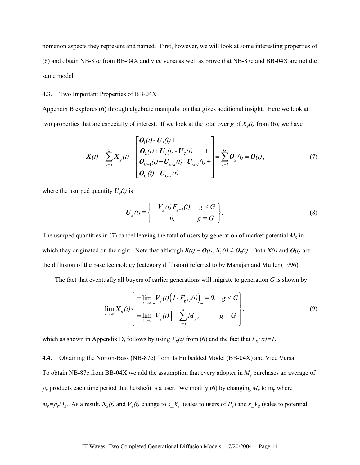nomenon aspects they represent and named. First, however, we will look at some interesting properties of (6) and obtain NB-87c from BB-04X and vice versa as well as prove that NB-87c and BB-04X are not the same model.

#### 4.3. Two Important Properties of BB-04X

Appendix B explores (6) through algebraic manipulation that gives additional insight. Here we look at two properties that are especially of interest. If we look at the total over *g* of  $X_g(t)$  from (6), we have

$$
X(t) = \sum_{g=1}^{G} X_g(t) = \begin{bmatrix} \mathbf{O}_1(t) - \mathbf{U}_1(t) + \\ \mathbf{O}_2(t) + \mathbf{U}_1(t) - \mathbf{U}_2(t) + ... + \\ \mathbf{O}_{G-1}(t) + \mathbf{U}_{g-2}(t) - \mathbf{U}_{G-1}(t) + \\ \mathbf{O}_G(t) + \mathbf{U}_{G-1}(t) \end{bmatrix} = \sum_{g=1}^{G} \mathbf{O}_g(t) = \mathbf{O}(t),
$$
\n(7)

where the usurped quantity  $U_g(t)$  is

$$
\boldsymbol{U}_{g}(t) = \begin{cases} V_{g}(t) F_{g+1}(t), & g \leq G \\ 0, & g = G \end{cases}
$$
 (8)

The usurped quantities in (7) cancel leaving the total of users by generation of market potential  $M<sub>g</sub>$  in which they originated on the right. Note that although  $X(t) = O(t)$ ,  $X_g(t) \neq O_g(t)$ . Both  $X(t)$  and  $O(t)$  are the diffusion of the base technology (category diffusion) referred to by Mahajan and Muller (1996).

The fact that eventually all buyers of earlier generations will migrate to generation *G* is shown by

$$
\lim_{t \to \infty} X_g(t) \begin{cases} = \lim_{t \to \infty} \Big[ V_g(t) \Big( I - F_{g+I}(t) \Big) \Big] = 0, & g < G \\ = \lim_{t \to \infty} \Big[ V_g(t) \Big] = \sum_{j=1}^G M_j, & g = G \end{cases}
$$
\n(9)

which as shown in Appendix D, follows by using  $V_g(t)$  from (6) and the fact that  $F_g(\infty)=1$ .

4.4. Obtaining the Norton-Bass (NB-87c) from its Embedded Model (BB-04X) and Vice Versa To obtain NB-87c from BB-04X we add the assumption that every adopter in *Mg* purchases an average of  $\rho_g$  products each time period that he/she/it is a user. We modify (6) by changing  $M_g$  to m<sub>g</sub> where  $m_g = \rho_g M_g$ . As a result,  $X_g(t)$  and  $V_g(t)$  change to  $s_X_g$  (sales to users of  $P_g$ ) and  $s_Y_g$  (sales to potential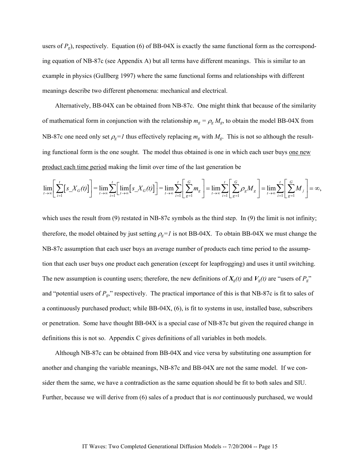users of  $P_g$ ), respectively. Equation (6) of BB-04X is exactly the same functional form as the corresponding equation of NB-87c (see Appendix A) but all terms have different meanings. This is similar to an example in physics (Gullberg 1997) where the same functional forms and relationships with different meanings describe two different phenomena: mechanical and electrical.

Alternatively, BB-04X can be obtained from NB-87c. One might think that because of the similarity of mathematical form in conjunction with the relationship  $m_g = \rho_g M_g$ , to obtain the model BB-04X from NB-87c one need only set  $\rho_g = I$  thus effectively replacing  $m_g$  with  $M_g$ . This is not so although the resulting functional form is the one sought. The model thus obtained is one in which each user buys <u>one new</u> product each time period making the limit over time of the last generation be

$$
\lim_{t\to\infty}\left[\sum_{i=1}^t \left[s_{-}X_{G}(t)\right]\right] = \lim_{t\to\infty}\sum_{i=1}^t \left[\lim_{t\to\infty} \left[s_{-}X_{G}(t)\right]\right] = \lim_{t\to\infty}\sum_{i=1}^t \left[\sum_{g=1}^G m_g\right] = \lim_{t\to\infty}\sum_{i=1}^t \left[\sum_{g=1}^G \rho_g M_g\right] = \lim_{t\to\infty}\sum_{i=1}^t \left[\sum_{g=1}^G M_g\right] = \infty,
$$

which uses the result from (9) restated in NB-87c symbols as the third step. In (9) the limit is not infinity; therefore, the model obtained by just setting  $\rho_g = I$  is not BB-04X. To obtain BB-04X we must change the NB-87c assumption that each user buys an average number of products each time period to the assumption that each user buys one product each generation (except for leapfrogging) and uses it until switching. The new assumption is counting users; therefore, the new definitions of  $X_g(t)$  and  $V_g(t)$  are "users of  $P_g$ " and "potential users of *Pg*," respectively. The practical importance of this is that NB-87c is fit to sales of a continuously purchased product; while BB-04X, (6), is fit to systems in use, installed base, subscribers or penetration. Some have thought BB-04X is a special case of NB-87c but given the required change in definitions this is not so. Appendix C gives definitions of all variables in both models.

Although NB-87c can be obtained from BB-04X and vice versa by substituting one assumption for another and changing the variable meanings, NB-87c and BB-04X are not the same model. If we consider them the same, we have a contradiction as the same equation should be fit to both sales and SIU. Further, because we will derive from (6) sales of a product that is *not* continuously purchased, we would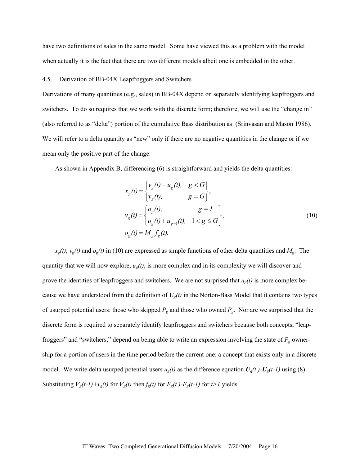have two definitions of sales in the same model. Some have viewed this as a problem with the model when actually it is the fact that there are two different models albeit one is embedded in the other.

### 4.5. Derivation of BB-04X Leapfroggers and Switchers

Derivations of many quantities (e.g., sales) in BB-04X depend on separately identifying leapfroggers and switchers. To do so requires that we work with the discrete form; therefore, we will use the "change in" (also referred to as "delta") portion of the cumulative Bass distribution as (Srinvasan and Mason 1986). We will refer to a delta quantity as "new" only if there are no negative quantities in the change or if we mean only the positive part of the change.

As shown in Appendix B, differencing (6) is straightforward and yields the delta quantities:

$$
x_g(t) = \begin{cases} v_g(t) - u_g(t), & g < G \\ v_g(t), & g = G \end{cases},
$$
  

$$
v_g(t) = \begin{cases} o_g(t), & g = I \\ o_g(t) + u_{g-1}(t), & 1 < g \le G \end{cases},
$$
  

$$
o_g(t) = M_g f_g(t).
$$
 (10)

 $x_g(t)$ ,  $v_g(t)$  and  $o_g(t)$  in (10) are expressed as simple functions of other delta quantities and  $M_g$ . The quantity that we will now explore,  $u_g(t)$ , is more complex and in its complexity we will discover and prove the identities of leapfroggers and switchers. We are not surprised that  $u_g(t)$  is more complex because we have understood from the definition of *Ug(t)* in the Norton-Bass Model that it contains two types of usurped potential users: those who skipped *Pg* and those who owned *Pg*. Nor are we surprised that the discrete form is required to separately identify leapfroggers and switchers because both concepts, "leapfroggers" and "switchers," depend on being able to write an expression involving the state of *Pg* ownership for a portion of users in the time period before the current one: a concept that exists only in a discrete model. We write delta usurped potential users  $u_g(t)$  as the difference equation  $U_g(t)$ - $U_g(t-1)$  using (8). Substituting  $V_g(t-1)+v_g(t)$  for  $V_g(t)$  then  $f_g(t)$  for  $F_g(t)$ - $F_g(t-1)$  for  $t>1$  yields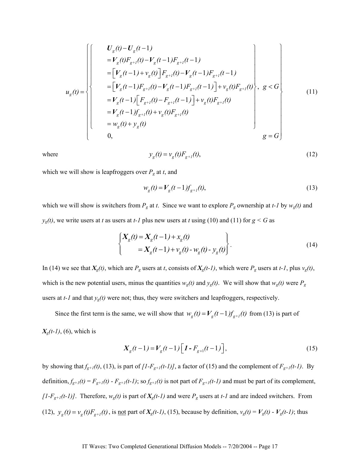$$
u_{g}(t) = \begin{cases} U_{g}(t) - U_{g}(t-1) \\ = V_{g}(t)F_{g+1}(t) - V_{g}(t-1)F_{g+1}(t-1) \\ = [V_{g}(t-1) + v_{g}(t)]F_{g+1}(t) - V_{g}(t-1)F_{g+1}(t-1) \\ = [V_{g}(t-1)F_{g+1}(t) - V_{g}(t-1)F_{g+1}(t-1)] + v_{g}(t)F_{g+1}(t) \\ = V_{g}(t-1)[F_{g+1}(t) - F_{g+1}(t-1)] + v_{g}(t)F_{g+1}(t) \\ = V_{g}(t-1)f_{g+1}(t) + v_{g}(t)F_{g+1}(t) \\ = w_{g}(t) + y_{g}(t) \end{cases} (11)
$$

where 
$$
y_g(t) = v_g(t) F_{g+1}(t),
$$
 (12)

which we will show is leapfroggers over *Pg* at *t*, and

$$
w_g(t) = V_g(t-1)f_{g+1}(t),
$$
\n(13)

which we will show is switchers from  $P_g$  at *t*. Since we want to explore  $P_g$  ownership at *t-1* by  $w_g(t)$  and  $y_g(t)$ , we write users at *t* as users at *t*-*I* plus new users at *t* using (10) and (11) for  $g < G$  as

$$
\begin{cases}\nX_g(t) = X_g(t-1) + x_g(t) \\
= X_g(t-1) + v_g(t) - w_g(t) - y_g(t)\n\end{cases}
$$
\n(14)

In (14) we see that  $X_g(t)$ , which are  $P_g$  users at *t*, consists of  $X_g(t-1)$ , which were  $P_g$  users at *t-1*, plus  $v_g(t)$ , which is the new potential users, minus the quantities  $w_g(t)$  and  $y_g(t)$ . We will show that  $w_g(t)$  were  $P_g$ users at  $t$ -*l* and that  $y_g(t)$  were not; thus, they were switchers and leapfroggers, respectively.

Since the first term is the same, we will show that  $w_g(t) = V_g(t-1)f_{g+1}(t)$  from (13) is part of *Xg(t-1)*, (6), which is

$$
X_g(t-1) = V_g(t-1) \left[ 1 - F_{g+1}(t-1) \right],
$$
\n(15)

by showing that  $f_{g+1}(t)$ , (13), is part of  $[I-F_{g+1}(t-1)]$ , a factor of (15) and the complement of  $F_{g+1}(t-1)$ . By definition,  $f_{g+1}(t) = F_{g+1}(t) - F_{g+1}(t-1)$ ; so  $f_{g+1}(t)$  is not part of  $F_{g+1}(t-1)$  and must be part of its complement,  $[I-F<sub>g+1</sub>(t-1)]$ . Therefore,  $w<sub>g</sub>(t)$  is part of  $X<sub>g</sub>(t-1)$  and were  $P<sub>g</sub>$  users at  $t-1$  and are indeed switchers. From (12),  $y_g(t) = v_g(t)F_{g+1}(t)$ , is <u>not</u> part of  $X_g(t-1)$ , (15), because by definition,  $v_g(t) = V_g(t) - V_g(t-1)$ ; thus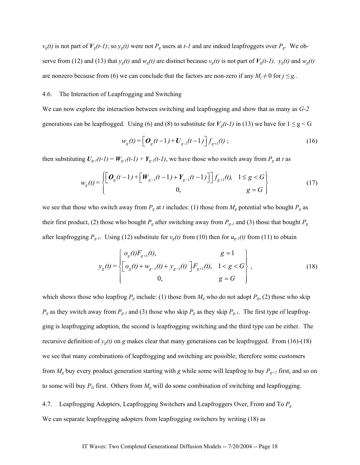$v_g(t)$  is not part of  $V_g(t-1)$ ; so  $y_g(t)$  were not  $P_g$  users at *t-1* and are indeed leapfroggers over  $P_g$ . We observe from (12) and (13) that  $y_g(t)$  and  $w_g(t)$  are distinct because  $v_g(t)$  is not part of  $V_g(t-1)$ .  $y_g(t)$  and  $w_g(t)$ are nonzero because from (6) we can conclude that the factors are non-zero if any  $M_i \neq 0$  for  $j \leq g$ .

### 4.6. The Interaction of Leapfrogging and Switching

We can now explore the interaction between switching and leapfrogging and show that as many as *G-2* generations can be leapfrogged. Using (6) and (8) to substitute for  $V_g(t-1)$  in (13) we have for  $1 \le g \le G$ 

$$
w_g(t) = \left[ \boldsymbol{O}_g(t-1) + \boldsymbol{U}_{g-1}(t-1) \right] f_{g+1}(t) ; \qquad (16)
$$

then substituting  $U_{g-1}(t-1) = W_{g-1}(t-1) + Y_{g-1}(t-1)$ , we have those who switch away from  $P_g$  at *t* as

$$
w_{g}(t) = \begin{cases} \left[ \boldsymbol{O}_{g}(t-1) + \left[ \boldsymbol{W}_{g-1}(t-1) + \boldsymbol{Y}_{g-1}(t-1) \right] \right] f_{g+1}(t), & 1 \le g < G \\ 0, & g = G \end{cases}
$$
(17)

we see that those who switch away from  $P_g$  at *t* includes: (1) those from  $M_g$  potential who bought  $P_g$  as their first product, (2) those who bought  $P_g$  after switching away from  $P_{g-1}$  and (3) those that bought  $P_g$ after leapfrogging  $P_{g-1}$ . Using (12) substitute for  $v_g(t)$  from (10) then for  $u_{g-1}(t)$  from (11) to obtain

$$
y_g(t) = \begin{cases} o_g(t)F_{g+1}(t), & g = 1\\ \left[ o_g(t) + w_{g-1}(t) + y_{g-1}(t) \right] F_{g+1}(t), & 1 < g < G\\ 0, & g = G \end{cases},
$$
\n(18)

which shows those who leapfrog  $P_g$  include: (1) those from  $M_g$  who do not adopt  $P_g$ , (2) those who skip  $P_g$  as they switch away from  $P_{g-1}$  and (3) those who skip  $P_g$  as they skip  $P_{g-1}$ . The first type of leapfrogging is leapfrogging adoption, the second is leapfrogging switching and the third type can be either. The recursive definition of  $y_g(t)$  on *g* makes clear that many generations can be leapfrogged. From (16)-(18) we see that many combinations of leapfrogging and switching are possible; therefore some customers from  $M_g$  buy every product generation starting with *g* while some will leapfrog to buy  $P_{g+1}$  first, and so on to some will buy  $P_G$  first. Others from  $M_g$  will do some combination of switching and leapfrogging.

4.7. Leapfrogging Adopters, Leapfrogging Switchers and Leapfroggers Over, From and To *Pg*

We can separate leapfrogging adopters from leapfrogging switchers by writing (18) as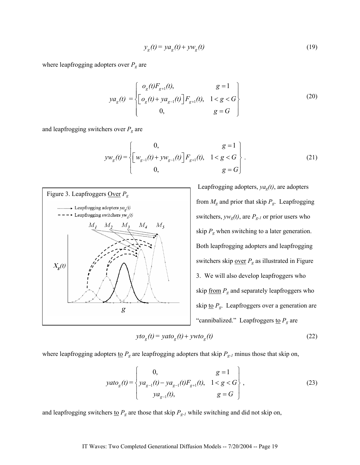$$
y_g(t) = ya_g(t) + yw_g(t)
$$
\n(19)

where leapfrogging adopters over *Pg* are

$$
ya_{g}(t) = \begin{cases} o_{g}(t)F_{g+1}(t), & g=1\\ \left[ o_{g}(t) + ya_{g-1}(t) \right]F_{g+1}(t), & 1 < g < G\\ 0, & g=G \end{cases}
$$
 (20)

and leapfrogging switchers over *Pg* are

$$
yw_{g}(t) = \begin{cases} 0, & g = 1 \\ \left[w_{g-1}(t) + yw_{g-1}(t)\right]F_{g+1}(t), & 1 < g < G \\ 0, & g = G \end{cases}
$$
 (21)



Leapfrogging adopters,  $ya<sub>g</sub>(t)$ , are adopters from *Mg* and prior that skip *Pg*. Leapfrogging switchers,  $yw_g(t)$ , are  $P_{g-1}$  or prior users who skip  $P_g$  when switching to a later generation. Both leapfrogging adopters and leapfrogging switchers skip <u>over</u>  $P_g$  as illustrated in Figure 3. We will also develop leapfroggers who skip  $\underline{\text{from}} P_g$  and separately leapfroggers who skip  $\underline{to} P_g$ . Leapfroggers over a generation are "cannibalized." Leapfroggers to  $P_g$  are

$$
ytog(t) = yatog(t) + ywtog(t)
$$
\n(22)

where leapfrogging adopters to  $P_g$  are leapfrogging adopters that skip  $P_{g-1}$  minus those that skip on,

$$
yato_{g}(t) = \begin{cases} 0, & g = 1 \\ ya_{g-1}(t) - ya_{g-1}(t)F_{g+1}(t), & 1 < g < G \\ ya_{g-1}(t), & g = G \end{cases},
$$
 (23)

and leapfrogging switchers <u>to</u>  $P_g$  are those that skip  $P_{g-1}$  while switching and did not skip on,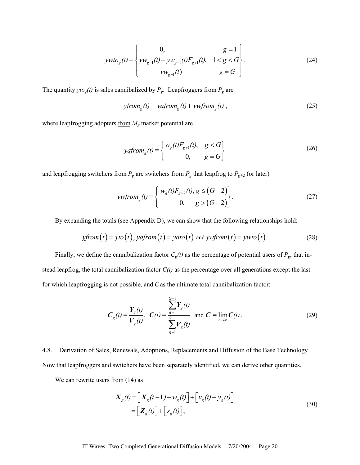$$
ywto_{g}(t) = \begin{cases} 0, & g = 1 \\ yw_{g-1}(t) - yw_{g-1}(t)F_{g+1}(t), & 1 < g < G \\ yw_{g-1}(t) & g = G \end{cases}
$$
 (24)

The quantity  $y \, t \, o_g(t)$  is sales cannibalized by  $P_g$ . Leapfroggers <u>from</u>  $P_g$  are

$$
yfromg(t) = yafromg(t) + ywfromg(t),
$$
\n(25)

where leapfrogging adopters from  $M_g$  market potential are

$$
yafromg(t) = \begin{cases} o_g(t)F_{g+1}(t), & g < G \\ 0, & g = G \end{cases}
$$
 (26)

and leapfrogging switchers <u>from</u>  $P_g$  are switchers from  $P_g$  that leapfrog to  $P_{g+2}$  (or later)

$$
y w from_{g}(t) = \begin{cases} w_{g}(t) F_{g+2}(t), g \leq (G-2) \\ 0, g > (G-2) \end{cases}
$$
 (27)

By expanding the totals (see Appendix D), we can show that the following relationships hold:

$$
y from(t) = y to(t), y a from(t) = y a to(t) \text{ and } y w from(t) = y w to(t). \tag{28}
$$

Finally, we define the cannibalization factor  $C_g(t)$  as the percentage of potential users of  $P_g$ , that instead leapfrog, the total cannibalization factor *C(t)* as the percentage over all generations except the last for which leapfrogging is not possible, and *C*as the ultimate total cannibalization factor:

$$
C_g(t) = \frac{Y_g(t)}{V_g(t)}, \ C(t) = \frac{\sum_{g=1}^{G-1} Y_g(t)}{\sum_{g=1}^{G-1} V_g(t)} \text{ and } C = \lim_{t \to \infty} C(t).
$$
 (29)

4.8. Derivation of Sales, Renewals, Adoptions, Replacements and Diffusion of the Base Technology Now that leapfroggers and switchers have been separately identified, we can derive other quantities.

We can rewrite users from  $(14)$  as

$$
X_g(t) = \left[X_g(t-1) - w_g(t)\right] + \left[v_g(t) - y_g(t)\right]
$$
  
=  $\left[Z_g(t)\right] + \left[s_g(t)\right],$  (30)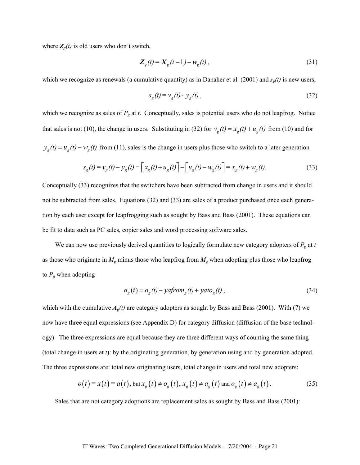where  $Z_g(t)$  is old users who don't switch,

$$
\mathbf{Z}_g(t) = \mathbf{X}_g(t-1) - w_g(t) \,,\tag{31}
$$

which we recognize as renewals (a cumulative quantity) as in Danaher et al. (2001) and *sg(t)* is new users,

$$
s_g(t) = v_g(t) - y_g(t) \,, \tag{32}
$$

which we recognize as sales of  $P_g$  at *t*. Conceptually, sales is potential users who do not leapfrog. Notice that sales is not (10), the change in users. Substituting in (32) for  $v_g(t) = x_g(t) + u_g(t)$  from (10) and for  $y_g(t) = u_g(t) - w_g(t)$  from (11), sales is the change in users plus those who switch to a later generation

$$
s_g(t) = v_g(t) - y_g(t) = \left[x_g(t) + u_g(t)\right] - \left[u_g(t) - w_g(t)\right] = x_g(t) + w_g(t).
$$
 (33)

Conceptually (33) recognizes that the switchers have been subtracted from change in users and it should not be subtracted from sales. Equations (32) and (33) are sales of a product purchased once each generation by each user except for leapfrogging such as sought by Bass and Bass (2001). These equations can be fit to data such as PC sales, copier sales and word processing software sales.

We can now use previously derived quantities to logically formulate new category adopters of  $P<sub>g</sub>$  at  $t$ as those who originate in *Mg* minus those who leapfrog from *Mg* when adopting plus those who leapfrog to  $P_g$  when adopting

$$
a_g(t) = o_g(t) - yafrom_g(t) + yato_g(t),
$$
\n(34)

which with the cumulative  $A_g(t)$  are category adopters as sought by Bass and Bass (2001). With (7) we now have three equal expressions (see Appendix D) for category diffusion (diffusion of the base technology). The three expressions are equal because they are three different ways of counting the same thing (total change in users at *t*): by the originating generation, by generation using and by generation adopted. The three expressions are: total new originating users, total change in users and total new adopters:

$$
o(t) = x(t) = a(t), \text{ but } x_g(t) \neq o_g(t), x_g(t) \neq a_g(t) \text{ and } o_g(t) \neq a_g(t).
$$
 (35)

Sales that are not category adoptions are replacement sales as sought by Bass and Bass (2001):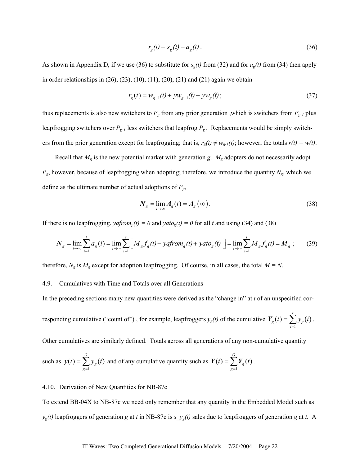$$
r_g(t) = s_g(t) - a_g(t).
$$
 (36)

As shown in Appendix D, if we use (36) to substitute for  $s_g(t)$  from (32) and for  $a_g(t)$  from (34) then apply in order relationships in  $(26)$ ,  $(23)$ ,  $(10)$ ,  $(11)$ ,  $(20)$ ,  $(21)$  and  $(21)$  again we obtain

$$
r_g(t) = w_{g-1}(t) + yw_{g-1}(t) - yw_g(t); \tag{37}
$$

thus replacements is also new switchers to *Pg* from any prior generation ,which is switchers from *Pg-1* plus leapfrogging switchers over  $P_{g-1}$  less switchers that leapfrog  $P_g$ . Replacements would be simply switchers from the prior generation except for leapfrogging; that is,  $r_g(t) \neq w_{g-1}(t)$ ; however, the totals  $r(t) = w(t)$ .

Recall that  $M_g$  is the new potential market with generation *g*.  $M_g$  adopters do not necessarily adopt *Pg*, however, because of leapfrogging when adopting; therefore, we introduce the quantity *Ng*, which we define as the ultimate number of actual adoptions of *Pg*,

$$
N_g = \lim_{t \to \infty} A_g(t) = A_g(\infty). \tag{38}
$$

If there is no leapfrogging, *yafrom<sub>g</sub>*(*t*) = 0 and *yato<sub>g</sub>*(*t*) = 0 for all *t* and using (34) and (38)

$$
N_{g} = \lim_{t \to \infty} \sum_{i=1}^{t} a_{g}(i) = \lim_{t \to \infty} \sum_{i=1}^{t} \Big[ M_{g} f_{g}(t) - ya from_{g}(t) + yato_{g}(t) \Big] = \lim_{t \to \infty} \sum_{i=1}^{t} M_{g} f_{g}(t) = M_{g} ; \qquad (39)
$$

therefore,  $N_g$  is  $M_g$  except for adoption leapfrogging. Of course, in all cases, the total  $M = N$ .

### 4.9. Cumulatives with Time and Totals over all Generations

In the preceding sections many new quantities were derived as the "change in" at *t* of an unspecified cor-

responding cumulative ("count of"), for example, leapfroggers  $y_g(t)$  of the cumulative 1  $(t) = \sum y_{\sigma}(i)$ *t*  $g(t) = \sum y_g$ *i*  $(t) = \sum y_{\circ}(i)$  $Y_g(t) = \sum_{i=1}^{s} y_g(i)$ .

Other cumulatives are similarly defined. Totals across all generations of any non-cumulative quantity

such as 
$$
y(t) = \sum_{g=1}^{G} y_g(t)
$$
 and of any cumulative quantity such as  $Y(t) = \sum_{g=1}^{G} Y_g(t)$ .

### 4.10. Derivation of New Quantities for NB-87c

To extend BB-04X to NB-87c we need only remember that any quantity in the Embedded Model such as  $y_g(t)$  leapfroggers of generation *g* at *t* in NB-87c is  $s_y_g(t)$  sales due to leapfroggers of generation *g* at *t*. A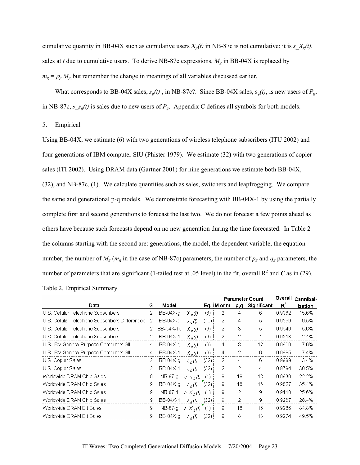cumulative quantity in BB-04X such as cumulative users  $X_g(t)$  in NB-87c is not cumulative: it is  $s_X_g(t)$ , sales at *t* due to cumulative users. To derive NB-87c expressions,  $M_g$  in BB-04X is replaced by  $m_g = \rho_g M_g$ , but remember the change in meanings of all variables discussed earlier.

What corresponds to BB-04X sales,  $s_g(t)$ , in NB-87c?. Since BB-04X sales,  $s_g(t)$ , is new users of  $P_g$ , in NB-87c, *s\_sg(t)* is sales due to new users of *Pg*. Appendix C defines all symbols for both models.

### 5. Empirical

Using BB-04X, we estimate (6) with two generations of wireless telephone subscribers (ITU 2002) and four generations of IBM computer SIU (Phister 1979). We estimate (32) with two generations of copier sales (ITI 2002). Using DRAM data (Gartner 2001) for nine generations we estimate both BB-04X, (32), and NB-87c, (1). We calculate quantities such as sales, switchers and leapfrogging. We compare the same and generational p-q models. We demonstrate forecasting with BB-04X-1 by using the partially complete first and second generations to forecast the last two. We do not forecast a few points ahead as others have because such forecasts depend on no new generation during the time forecasted. In Table 2 the columns starting with the second are: generations, the model, the dependent variable, the equation number, the number of  $M_g$  ( $m_g$  in the case of NB-87c) parameters, the number of  $p_g$  and  $q_g$  parameters, the number of parameters that are significant (1-tailed test at .05 level) in the fit, overall  $R^2$  and  $C$  as in (29). Table 2. Empirical Summary

|                                                 |    |           |                 |       | <b>Parameter Count</b> |     |              | Overall        | Cannibal- |
|-------------------------------------------------|----|-----------|-----------------|-------|------------------------|-----|--------------|----------------|-----------|
| Data                                            | G  | Model     |                 |       | Eq. iM or m            | p,q | Significanti | R <sup>2</sup> | ization   |
| U.S. Cellular Telephone Subscribers             | 2  | BB-04X-g  | $X_g(t)$        | (6)   | 2                      | 4   | 6            | 0.9962         | 15.6%     |
| U.S. Cellular Telephone Subscribers Differenced | 2  | BB-04X-g  | $X_g(t)$        | (10)! | 2                      | 4   | 5            | 0.9599         | 9.5%      |
| U.S. Cellular Telephone Subscribers             | 2  | BB-04X-1a | $X_{\alpha}(t)$ | (6)   | 2                      | 3   | 5            | 0.9940         | 5.6%      |
| U.S. Cellular Telephone Subscribers             | 2  | BB-04X-1  | $X_{\alpha}(t)$ | (6)   | 2                      | 2   | 4            | 0.9513         | 2.4%      |
| U.S. IBM General Purpose Computers SIU          | 4  | BB-04X-g  | $X_{\alpha}(t)$ | (6)   | 4                      | 8   | 12           | 0.9900         | 7.6%      |
| U.S. IBM General Purpose Computers SIU          | 4  | BB-04X-1  | $X_{\alpha}(t)$ | (6)   | 4                      | 2   | 6            | : 0.9885       | 7.4%      |
| U.S. Copier Sales                               | 2  | BB-04X-g  | $S_g(t)$        | (32)  | 2                      | 4   | 6            | 0.9989         | 13.4%     |
| U.S. Copier Sales                               | 2  | BB-04X-1  | $s_{\alpha}(t)$ | (32)  | 2                      | 2   | 4            | 0.9794         | 30.5%     |
| Worldwide DRAM Chip Sales                       | 9. | NB-87-g   | $S_X(x)$        | (1)   | 9                      | 18  | 18           | 0.9830         | 22.2%     |
| Worldwide DRAM Chip Sales                       | 9  | BB-04X-g  | $S_g(t)$        | (32)  | 9                      | 18  | 16           | 0.9827         | 35.4%     |
| Worldwide DRAM Chip Sales                       | 9  | NB-87-1   | $S_X(\theta)$   | (1)   | 9                      | 2   | 9            | 0.9118         | 25.6%     |
| Worldwide DRAM Chip Sales                       | 9  | BB-04X-1  | $s_g(t)$        | (32)  | 9                      | 2   | 9            | 0.9267         | 28.4%     |
| Worldwide DRAM Bit Sales                        | 9  | NB-87-g   | $S_X(x)$        | (1)   | 9                      | 18  | 15           | 0.9986         | 84.8%     |
| Worldwide DRAM Bit Sales                        | 9  | BB-04X-g  | $S_g(t)$        | (32)  | 9                      | 8   | 13           | 0.9974         | 49.5%     |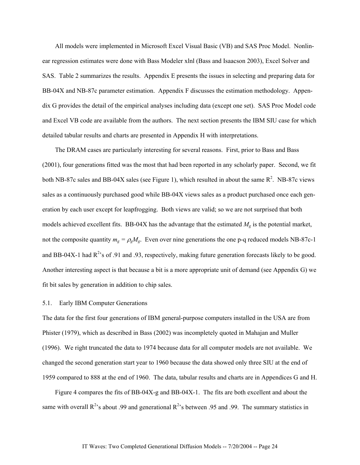All models were implemented in Microsoft Excel Visual Basic (VB) and SAS Proc Model. Nonlinear regression estimates were done with Bass Modeler xlnl (Bass and Isaacson 2003), Excel Solver and SAS. Table 2 summarizes the results. Appendix E presents the issues in selecting and preparing data for BB-04X and NB-87c parameter estimation. Appendix F discusses the estimation methodology. Appendix G provides the detail of the empirical analyses including data (except one set). SAS Proc Model code and Excel VB code are available from the authors. The next section presents the IBM SIU case for which detailed tabular results and charts are presented in Appendix H with interpretations.

The DRAM cases are particularly interesting for several reasons. First, prior to Bass and Bass (2001), four generations fitted was the most that had been reported in any scholarly paper. Second, we fit both NB-87c sales and BB-04X sales (see Figure 1), which resulted in about the same  $\mathbb{R}^2$ . NB-87c views sales as a continuously purchased good while BB-04X views sales as a product purchased once each generation by each user except for leapfrogging. Both views are valid; so we are not surprised that both models achieved excellent fits. BB-04X has the advantage that the estimated *Mg* is the potential market, not the composite quantity  $m_g = \rho_g M_g$ . Even over nine generations the one p-q reduced models NB-87c-1 and BB-04X-1 had  $R^2$ 's of .91 and .93, respectively, making future generation forecasts likely to be good. Another interesting aspect is that because a bit is a more appropriate unit of demand (see Appendix G) we fit bit sales by generation in addition to chip sales.

### 5.1. Early IBM Computer Generations

The data for the first four generations of IBM general-purpose computers installed in the USA are from Phister (1979), which as described in Bass (2002) was incompletely quoted in Mahajan and Muller (1996). We right truncated the data to 1974 because data for all computer models are not available. We changed the second generation start year to 1960 because the data showed only three SIU at the end of 1959 compared to 888 at the end of 1960. The data, tabular results and charts are in Appendices G and H.

Figure 4 compares the fits of BB-04X-g and BB-04X-1. The fits are both excellent and about the same with overall  $R^2$ 's about .99 and generational  $R^2$ 's between .95 and .99. The summary statistics in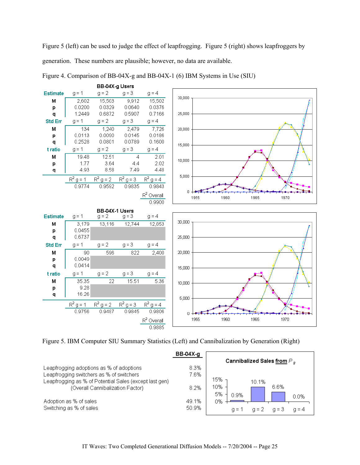Figure 5 (left) can be used to judge the effect of leapfrogging. Figure 5 (right) shows leapfroggers by generation. These numbers are plausible; however, no data are available.



Figure 4. Comparison of BB-04X-g and BB-04X-1 (6) IBM Systems in Use (SIU)



|                                                                                                                                                                                    | BB-04X-g             | Cannibalized Sales from $P_s$                          |
|------------------------------------------------------------------------------------------------------------------------------------------------------------------------------------|----------------------|--------------------------------------------------------|
| Leapfrogging adoptions as % of adoptions<br>Leapfrogging switchers as % of switchers<br>Leapfrogging as % of Potential Sales (except last gen)<br>(Overall Cannibalization Factor) | 8.3%<br>7.6%<br>8.2% | 15%<br>10.1%<br>10%<br>6.6%<br>5%<br>0.9%              |
| Adoption as % of sales<br>Switching as % of sales                                                                                                                                  | 49.1%<br>50.9%       | 0.0%<br>0%<br>$q = 4$<br>$q = 3$<br>$q = 1$<br>$a = 2$ |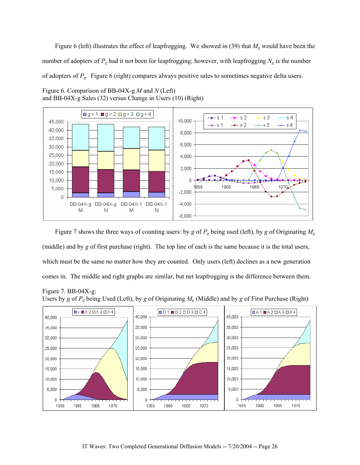Figure 6 (left) illustrates the effect of leapfrogging. We showed in (39) that *Mg* would have been the number of adopters of *Pg* had it not been for leapfrogging; however, with leapfrogging *Ng* is the number of adopters of *Pg*. Figure 6 (right) compares always positive sales to sometimes negative delta users.





Figure 7 shows the three ways of counting users: by *g* of  $P_g$  being used (left), by *g* of Originating  $M_g$ (middle) and by *g* of first purchase (right). The top line of each is the same because it is the total users, which must be the same no matter how they are counted. Only users (left) declines as a new generation comes in. The middle and right graphs are similar, but net leapfrogging is the difference between them.

# Figure 7. BB-04X-g:

Users by *g* of *Pg* being Used (Left), by *g* of Originating *Mg* (Middle) and by *g* of First Purchase (Right)

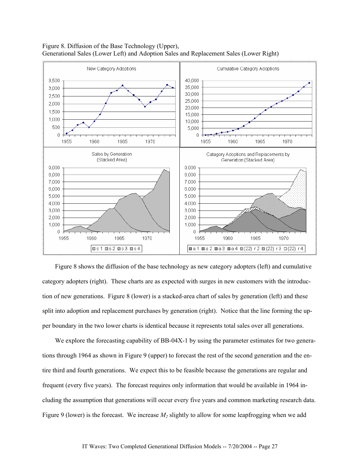

Figure 8. Diffusion of the Base Technology (Upper), Generational Sales (Lower Left) and Adoption Sales and Replacement Sales (Lower Right)

Figure 8 shows the diffusion of the base technology as new category adopters (left) and cumulative category adopters (right). These charts are as expected with surges in new customers with the introduction of new generations. Figure 8 (lower) is a stacked-area chart of sales by generation (left) and these split into adoption and replacement purchases by generation (right). Notice that the line forming the upper boundary in the two lower charts is identical because it represents total sales over all generations.

We explore the forecasting capability of BB-04X-1 by using the parameter estimates for two generations through 1964 as shown in Figure 9 (upper) to forecast the rest of the second generation and the entire third and fourth generations. We expect this to be feasible because the generations are regular and frequent (every five years). The forecast requires only information that would be available in 1964 including the assumption that generations will occur every five years and common marketing research data. Figure 9 (lower) is the forecast. We increase *M2* slightly to allow for some leapfrogging when we add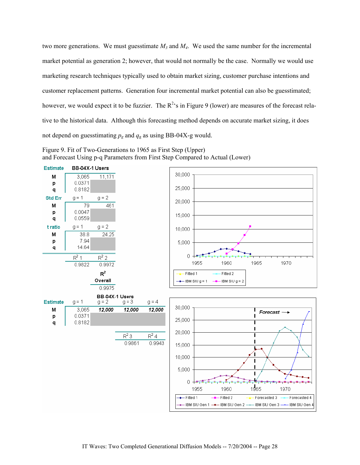two more generations. We must guesstimate  $M_3$  and  $M_4$ . We used the same number for the incremental market potential as generation 2; however, that would not normally be the case. Normally we would use marketing research techniques typically used to obtain market sizing, customer purchase intentions and customer replacement patterns. Generation four incremental market potential can also be guesstimated; however, we would expect it to be fuzzier. The  $R^{2}$ 's in Figure 9 (lower) are measures of the forecast relative to the historical data. Although this forecasting method depends on accurate market sizing, it does not depend on guesstimating  $p_g$  and  $q_g$  as using BB-04X-g would.



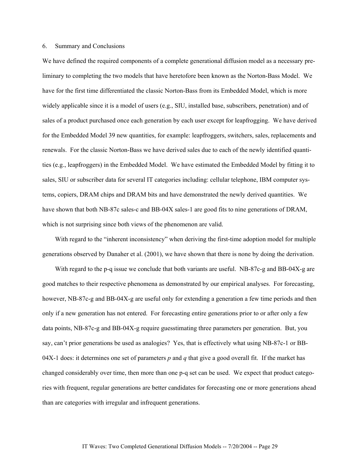### 6. Summary and Conclusions

We have defined the required components of a complete generational diffusion model as a necessary preliminary to completing the two models that have heretofore been known as the Norton-Bass Model. We have for the first time differentiated the classic Norton-Bass from its Embedded Model, which is more widely applicable since it is a model of users (e.g., SIU, installed base, subscribers, penetration) and of sales of a product purchased once each generation by each user except for leapfrogging. We have derived for the Embedded Model 39 new quantities, for example: leapfroggers, switchers, sales, replacements and renewals. For the classic Norton-Bass we have derived sales due to each of the newly identified quantities (e.g., leapfroggers) in the Embedded Model. We have estimated the Embedded Model by fitting it to sales, SIU or subscriber data for several IT categories including: cellular telephone, IBM computer systems, copiers, DRAM chips and DRAM bits and have demonstrated the newly derived quantities. We have shown that both NB-87c sales-c and BB-04X sales-1 are good fits to nine generations of DRAM, which is not surprising since both views of the phenomenon are valid.

With regard to the "inherent inconsistency" when deriving the first-time adoption model for multiple generations observed by Danaher et al. (2001), we have shown that there is none by doing the derivation.

With regard to the p-q issue we conclude that both variants are useful. NB-87c-g and BB-04X-g are good matches to their respective phenomena as demonstrated by our empirical analyses. For forecasting, however, NB-87c-g and BB-04X-g are useful only for extending a generation a few time periods and then only if a new generation has not entered. For forecasting entire generations prior to or after only a few data points, NB-87c-g and BB-04X-g require guesstimating three parameters per generation. But, you say, can't prior generations be used as analogies? Yes, that is effectively what using NB-87c-1 or BB-04X-1 does: it determines one set of parameters *p* and *q* that give a good overall fit. If the market has changed considerably over time, then more than one p-q set can be used. We expect that product categories with frequent, regular generations are better candidates for forecasting one or more generations ahead than are categories with irregular and infrequent generations.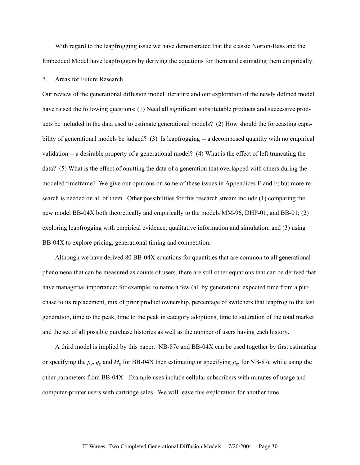With regard to the leapfrogging issue we have demonstrated that the classic Norton-Bass and the Embedded Model have leapfroggers by deriving the equations for them and estimating them empirically.

### 7. Areas for Future Research

Our review of the generational diffusion model literature and our exploration of the newly defined model have raised the following questions: (1) Need all significant substitutable products and successive products be included in the data used to estimate generational models? (2) How should the forecasting capability of generational models be judged? (3) Is leapfrogging -- a decomposed quantity with no empirical validation -- a desirable property of a generational model? (4) What is the effect of left truncating the data? (5) What is the effect of omitting the data of a generation that overlapped with others during the modeled timeframe? We give our opinions on some of these issues in Appendices E and F; but more research is needed on all of them. Other possibilities for this research stream include (1) comparing the new model BB-04X both theoretically and empirically to the models MM-96, DHP-01, and BB-01; (2) exploring leapfrogging with empirical evidence, qualitative information and simulation; and (3) using BB-04X to explore pricing, generational timing and competition.

Although we have derived 80 BB-04X equations for quantities that are common to all generational phenomena that can be measured as counts of users, there are still other equations that can be derived that have managerial importance; for example, to name a few (all by generation): expected time from a purchase to its replacement, mix of prior product ownership, percentage of switchers that leapfrog to the last generation, time to the peak, time to the peak in category adoptions, time to saturation of the total market and the set of all possible purchase histories as well as the number of users having each history.

A third model is implied by this paper. NB-87c and BB-04X can be used together by first estimating or specifying the  $p_g$ ,  $q_g$  and  $M_g$  for BB-04X then estimating or specifying  $\rho_g$ , for NB-87c while using the other parameters from BB-04X. Example uses include cellular subscribers with minutes of usage and computer-printer users with cartridge sales. We will leave this exploration for another time.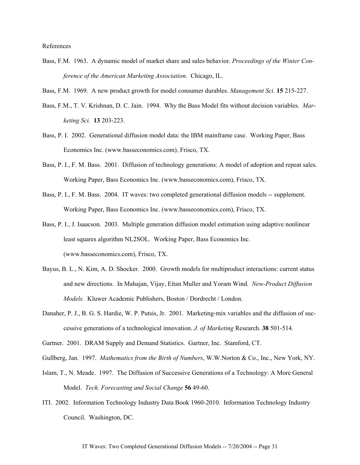References

Bass, F.M. 1963. A dynamic model of market share and sales behavior. *Proceedings of the Winter Conference of the American Marketing Association*. Chicago, IL.

Bass, F.M. 1969. A new product growth for model consumer durables. *Management Sci.* **15** 215-227.

- Bass, F.M., T. V. Krishnan, D. C. Jain. 1994. Why the Bass Model fits without decision variables. *Marketing Sci.* **13** 203-223.
- Bass, P. I. 2002. Generational diffusion model data: the IBM mainframe case. Working Paper, Bass Economics Inc. (www.basseconomics.com), Frisco, TX.
- Bass, P. I., F. M. Bass. 2001. Diffusion of technology generations: A model of adoption and repeat sales. Working Paper, Bass Economics Inc. (www.basseconomics.com), Frisco, TX.
- Bass, P. I., F. M. Bass. 2004. IT waves: two completed generational diffusion models -- supplement. Working Paper, Bass Economics Inc. (www.basseconomics.com), Frisco, TX.
- Bass, P. I., J. Isaacson. 2003. Multiple generation diffusion model estimation using adaptive nonlinear least squares algorithm NL2SOL. Working Paper, Bass Economics Inc. (www.basseconomics.com), Frisco, TX.
- Bayus, B. L., N. Kim, A. D. Shocker. 2000. Growth models for multiproduct interactions: current status and new directions. In Mahajan, Vijay, Eitan Muller and Yoram Wind. *New-Product Diffusion Models.* Kluwer Academic Publishers, Boston / Dordrecht / London.
- Danaher, P. J., B. G. S. Hardie, W. P. Putsis, Jr. 2001. Marketing-mix variables and the diffusion of successive generations of a technological innovation. *J. of Marketing* Research. **38** 501-514.

Gartner. 2001. DRAM Supply and Demand Statistics. Gartner, Inc. Stamford, CT.

Gullberg, Jan. 1997. *Mathematics from the Birth of Numbers*, W.W.Norton & Co., Inc., New York, NY.

- Islam, T., N. Meade. 1997. The Diffusion of Successive Generations of a Technology: A More General Model. *Tech. Forecasting and Social Change* **56** 49-60.
- ITI. 2002. Information Technology Industry Data Book 1960-2010. Information Technology Industry Council. Washington, DC.